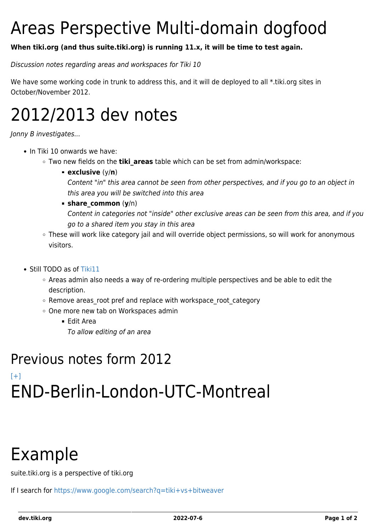# Areas Perspective Multi-domain dogfood

#### **When tiki.org (and thus suite.tiki.org) is running 11.x, it will be time to test again.**

Discussion notes regarding areas and workspaces for Tiki 10

We have some working code in trunk to address this, and it will de deployed to all \*.tiki.org sites in October/November 2012.

## 2012/2013 dev notes

Jonny B investigates...

- In Tiki 10 onwards we have:
	- $\circ$  Two new fields on the **tiki areas** table which can be set from admin/workspace:
		- **exclusive** (y/**n**)

Content "in" this area cannot be seen from other perspectives, and if you go to an object in this area you will be switched into this area

#### **share\_common** (**y**/n)

Content in categories not "inside" other exclusive areas can be seen from this area, and if you go to a shared item you stay in this area

- These will work like category jail and will override object permissions, so will work for anonymous visitors.
- Still TODO as of [Tiki11](https://dev.tiki.org/Tiki11)
	- Areas admin also needs a way of re-ordering multiple perspectives and be able to edit the description.
	- o Remove areas root pref and replace with workspace root category
	- One more new tab on Workspaces admin
		- Edit Area
			- To allow editing of an area

### Previous notes form 2012 [\[+\]](#page--1-0) END-Berlin-London-UTC-Montreal

## Example

suite.tiki.org is a perspective of tiki.org

If I search for <https://www.google.com/search?q=tiki+vs+bitweaver>